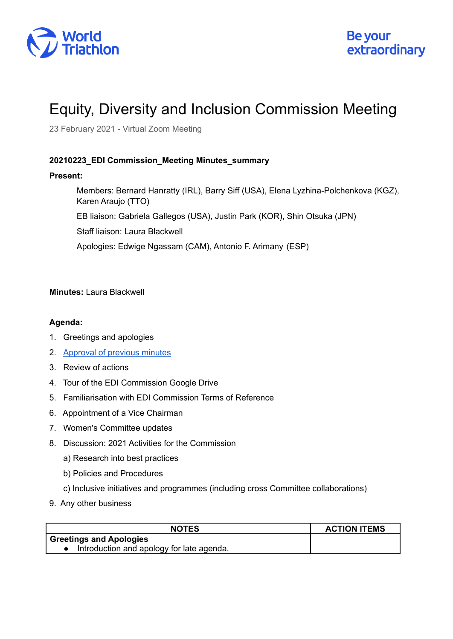

## Equity, Diversity and Inclusion Commission Meeting

23 February 2021 - Virtual Zoom Meeting

## **20210223\_EDI Commission\_Meeting Minutes\_summary**

## **Present:**

Members: Bernard Hanratty (IRL), Barry Siff (USA), Elena Lyzhina-Polchenkova (KGZ), Karen Araujo (TTO) EB liaison: Gabriela Gallegos (USA), Justin Park (KOR), Shin Otsuka (JPN) Staff liaison: Laura Blackwell Apologies: Edwige Ngassam (CAM), Antonio F. Arimany (ESP)

**Minutes:** Laura Blackwell

## **Agenda:**

- 1. Greetings and apologies
- 2. [Approval](https://drive.google.com/drive/u/0/folders/1Qz7j5ZzFj5UDolCRg1QmIT9VOtOpnOTW) of previous minutes
- 3. Review of actions
- 4. Tour of the EDI Commission Google Drive
- 5. Familiarisation with EDI Commission Terms of Reference
- 6. Appointment of a Vice Chairman
- 7. Women's Committee updates
- 8. Discussion: 2021 Activities for the Commission
	- a) Research into best practices
	- b) Policies and Procedures
	- c) Inclusive initiatives and programmes (including cross Committee collaborations)
- 9. Any other business

| <b>NOTES</b>                              | <b>ACTION ITEMS</b> |
|-------------------------------------------|---------------------|
| <b>Greetings and Apologies</b>            |                     |
| Introduction and apology for late agenda. |                     |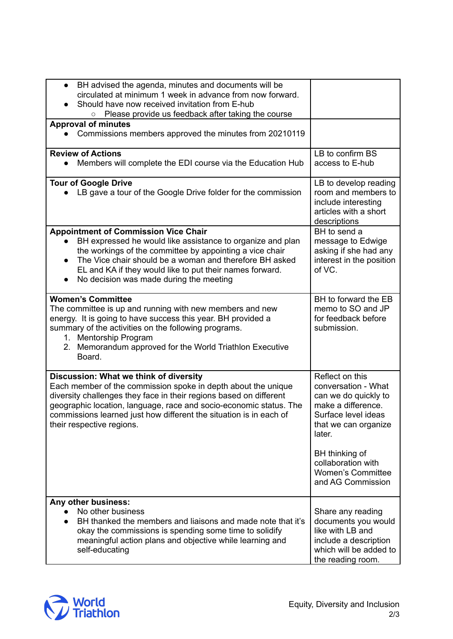| BH advised the agenda, minutes and documents will be<br>circulated at minimum 1 week in advance from now forward.<br>Should have now received invitation from E-hub                                                                                                                                                                                    |                                                                                                                                               |
|--------------------------------------------------------------------------------------------------------------------------------------------------------------------------------------------------------------------------------------------------------------------------------------------------------------------------------------------------------|-----------------------------------------------------------------------------------------------------------------------------------------------|
| Please provide us feedback after taking the course<br>$\circ$                                                                                                                                                                                                                                                                                          |                                                                                                                                               |
| <b>Approval of minutes</b><br>Commissions members approved the minutes from 20210119                                                                                                                                                                                                                                                                   |                                                                                                                                               |
| <b>Review of Actions</b>                                                                                                                                                                                                                                                                                                                               | LB to confirm BS                                                                                                                              |
| Members will complete the EDI course via the Education Hub                                                                                                                                                                                                                                                                                             | access to E-hub                                                                                                                               |
| <b>Tour of Google Drive</b>                                                                                                                                                                                                                                                                                                                            | LB to develop reading                                                                                                                         |
| LB gave a tour of the Google Drive folder for the commission                                                                                                                                                                                                                                                                                           | room and members to<br>include interesting<br>articles with a short<br>descriptions                                                           |
| <b>Appointment of Commission Vice Chair</b>                                                                                                                                                                                                                                                                                                            | BH to send a                                                                                                                                  |
| BH expressed he would like assistance to organize and plan<br>the workings of the committee by appointing a vice chair<br>The Vice chair should be a woman and therefore BH asked<br>$\bullet$<br>EL and KA if they would like to put their names forward.<br>No decision was made during the meeting<br>$\bullet$                                     | message to Edwige<br>asking if she had any<br>interest in the position<br>of VC.                                                              |
| <b>Women's Committee</b>                                                                                                                                                                                                                                                                                                                               | BH to forward the EB                                                                                                                          |
| The committee is up and running with new members and new<br>energy. It is going to have success this year. BH provided a<br>summary of the activities on the following programs.<br>1. Mentorship Program<br>2. Memorandum approved for the World Triathlon Executive<br>Board.                                                                        | memo to SO and JP<br>for feedback before<br>submission.                                                                                       |
| Discussion: What we think of diversity<br>Each member of the commission spoke in depth about the unique<br>diversity challenges they face in their regions based on different<br>geographic location, language, race and socio-economic status. The<br>commissions learned just how different the situation is in each of<br>their respective regions. | Reflect on this<br>conversation - What<br>can we do quickly to<br>make a difference.<br>Surface level ideas<br>that we can organize<br>later. |
|                                                                                                                                                                                                                                                                                                                                                        | BH thinking of<br>collaboration with<br><b>Women's Committee</b><br>and AG Commission                                                         |
| Any other business:                                                                                                                                                                                                                                                                                                                                    |                                                                                                                                               |
| No other business<br>BH thanked the members and liaisons and made note that it's<br>$\bullet$<br>okay the commissions is spending some time to solidify<br>meaningful action plans and objective while learning and<br>self-educating                                                                                                                  | Share any reading<br>documents you would<br>like with LB and<br>include a description<br>which will be added to<br>the reading room.          |